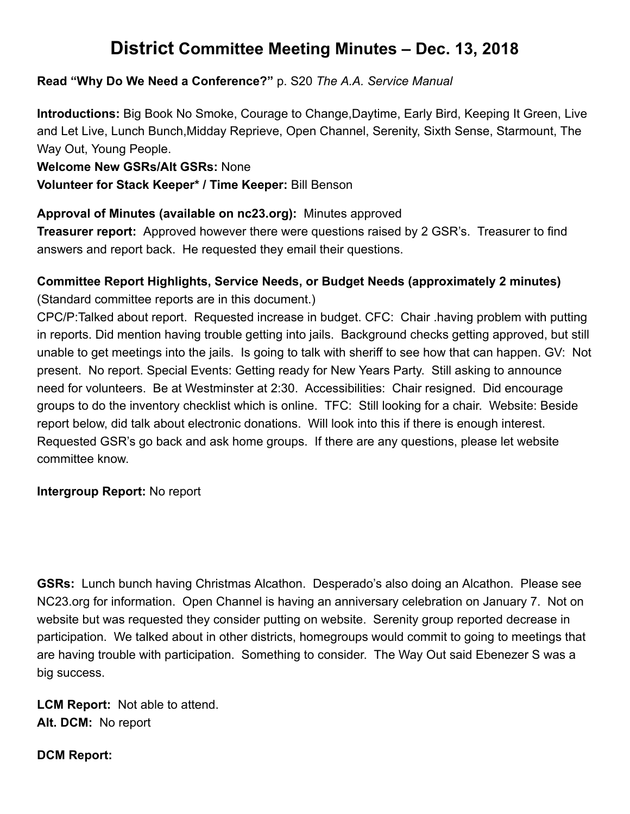# **District Committee Meeting Minutes – Dec. 13, 2018**

#### **Read "Why Do We Need a Conference?"** p. S20 The A.A. Service Manual

**Introductions:** Big Book No Smoke, Courage to Change,Daytime, Early Bird, Keeping It Green, Live and Let Live, Lunch Bunch,Midday Reprieve, Open Channel, Serenity, Sixth Sense, Starmount, The Way Out, Young People.

**Welcome New GSRs/Alt GSRs:**  None

#### **Volunteer for Stack Keeper\* / Time Keeper: Bill Benson**

#### Approval of Minutes (available on nc23.org): Minutes approved

**Treasurer report:** Approved however there were questions raised by 2 GSR's. Treasurer to find answers and report back. He requested they email their questions.

## **Committee Report Highlights, Service Needs, or Budget Needs (approximately 2 minutes)**

(Standard committee reports are in this document.)

CPC/P:Talked about report. Requested increase in budget. CFC: Chair .having problem with putting in reports. Did mention having trouble getting into jails. Background checks getting approved, but still unable to get meetings into the jails. Is going to talk with sheriff to see how that can happen. GV: Not present. No report. Special Events: Getting ready for New Years Party. Still asking to announce need for volunteers. Be at Westminster at 2:30. Accessibilities: Chair resigned. Did encourage groups to do the inventory checklist which is online. TFC: Still looking for a chair. Website: Beside report below, did talk about electronic donations. Will look into this if there is enough interest. Requested GSR's go back and ask home groups. If there are any questions, please let website committee know.

**Intergroup Report: No report** 

**GSRs:**  Lunch bunch having Christmas Alcathon. Desperado's also doing an Alcathon. Please see NC23.org for information. Open Channel is having an anniversary celebration on January 7. Not on website but was requested they consider putting on website. Serenity group reported decrease in participation. We talked about in other districts, homegroups would commit to going to meetings that are having trouble with participation. Something to consider. The Way Out said Ebenezer S was a big success.

**LCM Report:** Not able to attend. Alt. DCM: No report

#### **DCM Report:**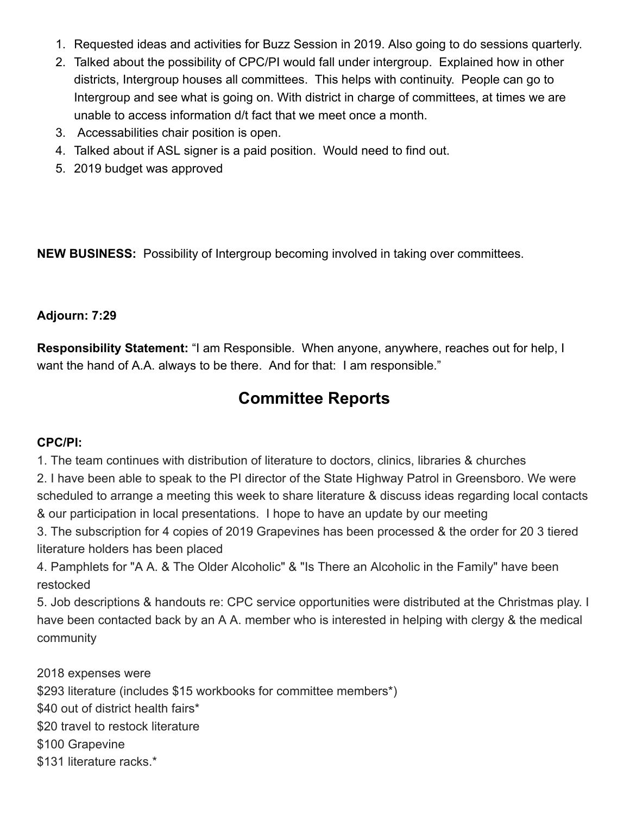- 1. Requested ideas and activities for Buzz Session in 2019. Also going to do sessions quarterly.
- 2. Talked about the possibility of CPC/PI would fall under intergroup. Explained how in other districts, Intergroup houses all committees. This helps with continuity. People can go to Intergroup and see what is going on. With district in charge of committees, at times we are unable to access information d/t fact that we meet once a month.
- 3. Accessabilities chair position is open.
- 4. Talked about if ASL signer is a paid position. Would need to find out.
- 5. 2019 budget was approved

**NEW BUSINESS:** Possibility of Intergroup becoming involved in taking over committees.

#### **Adjourn: 7:29**

**Responsibility Statement:** "I am Responsible. When anyone, anywhere, reaches out for help, I want the hand of A.A. always to be there. And for that: I am responsible."

# **Committee Reports**

#### **CPC/PI:**

1. The team continues with distribution of literature to doctors, clinics, libraries & churches

2. I have been able to speak to the PI director of the State Highway Patrol in Greensboro. We were scheduled to arrange a meeting this week to share literature & discuss ideas regarding local contacts & our participation in local presentations. I hope to have an update by our meeting

3. The subscription for 4 copies of 2019 Grapevines has been processed & the order for 20 3 tiered literature holders has been placed

4. Pamphlets for "A A. & The Older Alcoholic" & "Is There an Alcoholic in the Family" have been restocked

5. Job descriptions & handouts re: CPC service opportunities were distributed at the Christmas play. I have been contacted back by an A A. member who is interested in helping with clergy & the medical community

2018 expenses were

- \$293 literature (includes \$15 workbooks for committee members\*)
- \$40 out of district health fairs\*
- \$20 travel to restock literature
- \$100 Grapevine
- \$131 literature racks.\*